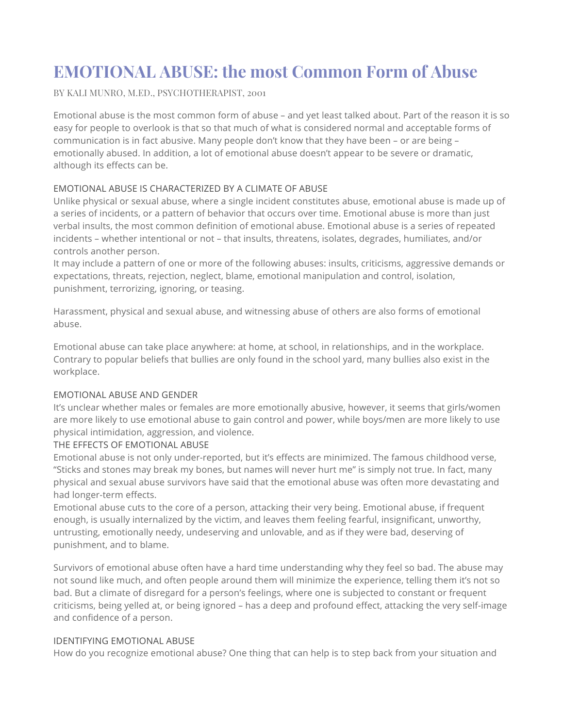# **EMOTIONAL ABUSE: the most Common Form of Abuse**

# BY KALI MUNRO, M.ED., PSYCHOTHERAPIST, 2001

Emotional abuse is the most common form of abuse – and yet least talked about. Part of the reason it is so easy for people to overlook is that so that much of what is considered normal and acceptable forms of communication is in fact abusive. Many people don't know that they have been – or are being – emotionally abused. In addition, a lot of emotional abuse doesn't appear to be severe or dramatic, although its effects can be.

# EMOTIONAL ABUSE IS CHARACTERIZED BY A CLIMATE OF ABUSE

Unlike physical or sexual abuse, where a single incident constitutes abuse, emotional abuse is made up of a series of incidents, or a pattern of behavior that occurs over time. Emotional abuse is more than just verbal insults, the most common definition of emotional abuse. Emotional abuse is a series of repeated incidents – whether intentional or not – that insults, threatens, isolates, degrades, humiliates, and/or controls another person.

It may include a pattern of one or more of the following abuses: insults, criticisms, aggressive demands or expectations, threats, rejection, neglect, blame, emotional manipulation and control, isolation, punishment, terrorizing, ignoring, or teasing.

Harassment, physical and sexual abuse, and witnessing abuse of others are also forms of emotional abuse.

Emotional abuse can take place anywhere: at home, at school, in relationships, and in the workplace. Contrary to popular beliefs that bullies are only found in the school yard, many bullies also exist in the workplace.

# EMOTIONAL ABUSE AND GENDER

It's unclear whether males or females are more emotionally abusive, however, it seems that girls/women are more likely to use emotional abuse to gain control and power, while boys/men are more likely to use physical intimidation, aggression, and violence.

# THE EFFECTS OF EMOTIONAL ABUSE

Emotional abuse is not only under-reported, but it's effects are minimized. The famous childhood verse, "Sticks and stones may break my bones, but names will never hurt me" is simply not true. In fact, many physical and sexual abuse survivors have said that the emotional abuse was often more devastating and had longer-term effects.

Emotional abuse cuts to the core of a person, attacking their very being. Emotional abuse, if frequent enough, is usually internalized by the victim, and leaves them feeling fearful, insignificant, unworthy, untrusting, emotionally needy, undeserving and unlovable, and as if they were bad, deserving of punishment, and to blame.

Survivors of emotional abuse often have a hard time understanding why they feel so bad. The abuse may not sound like much, and often people around them will minimize the experience, telling them it's not so bad. But a climate of disregard for a person's feelings, where one is subjected to constant or frequent criticisms, being yelled at, or being ignored – has a deep and profound effect, attacking the very self-image and confidence of a person.

# IDENTIFYING EMOTIONAL ABUSE

How do you recognize emotional abuse? One thing that can help is to step back from your situation and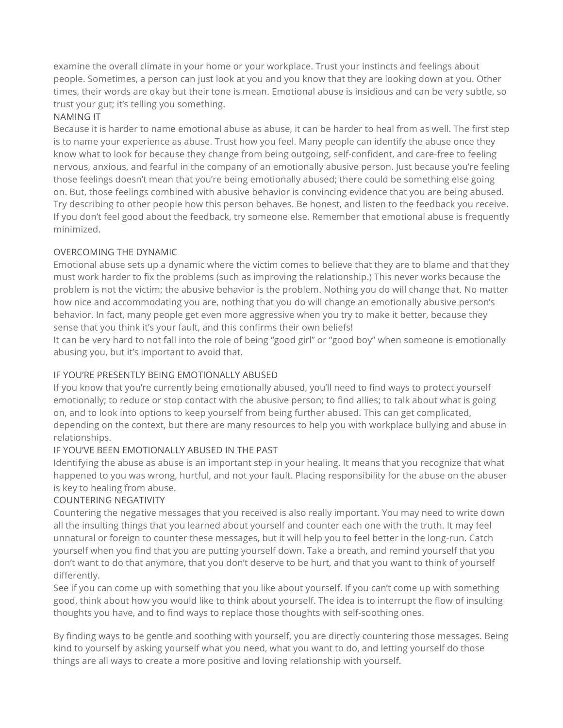examine the overall climate in your home or your workplace. Trust your instincts and feelings about people. Sometimes, a person can just look at you and you know that they are looking down at you. Other times, their words are okay but their tone is mean. Emotional abuse is insidious and can be very subtle, so trust your gut; it's telling you something.

# NAMING IT

Because it is harder to name emotional abuse as abuse, it can be harder to heal from as well. The first step is to name your experience as abuse. Trust how you feel. Many people can identify the abuse once they know what to look for because they change from being outgoing, self-confident, and care-free to feeling nervous, anxious, and fearful in the company of an emotionally abusive person. Just because you're feeling those feelings doesn't mean that you're being emotionally abused; there could be something else going on. But, those feelings combined with abusive behavior is convincing evidence that you are being abused. Try describing to other people how this person behaves. Be honest, and listen to the feedback you receive. If you don't feel good about the feedback, try someone else. Remember that emotional abuse is frequently minimized.

# OVERCOMING THE DYNAMIC

Emotional abuse sets up a dynamic where the victim comes to believe that they are to blame and that they must work harder to fix the problems (such as improving the relationship.) This never works because the problem is not the victim; the abusive behavior is the problem. Nothing you do will change that. No matter how nice and accommodating you are, nothing that you do will change an emotionally abusive person's behavior. In fact, many people get even more aggressive when you try to make it better, because they sense that you think it's your fault, and this confirms their own beliefs!

It can be very hard to not fall into the role of being "good girl" or "good boy" when someone is emotionally abusing you, but it's important to avoid that.

# IF YOU'RE PRESENTLY BEING EMOTIONALLY ABUSED

If you know that you're currently being emotionally abused, you'll need to find ways to protect yourself emotionally; to reduce or stop contact with the abusive person; to find allies; to talk about what is going on, and to look into options to keep yourself from being further abused. This can get complicated, depending on the context, but there are many resources to help you with workplace bullying and abuse in relationships.

# IF YOU'VE BEEN EMOTIONALLY ABUSED IN THE PAST

Identifying the abuse as abuse is an important step in your healing. It means that you recognize that what happened to you was wrong, hurtful, and not your fault. Placing responsibility for the abuse on the abuser is key to healing from abuse.

# COUNTERING NEGATIVITY

Countering the negative messages that you received is also really important. You may need to write down all the insulting things that you learned about yourself and counter each one with the truth. It may feel unnatural or foreign to counter these messages, but it will help you to feel better in the long-run. Catch yourself when you find that you are putting yourself down. Take a breath, and remind yourself that you don't want to do that anymore, that you don't deserve to be hurt, and that you want to think of yourself differently.

See if you can come up with something that you like about yourself. If you can't come up with something good, think about how you would like to think about yourself. The idea is to interrupt the flow of insulting thoughts you have, and to find ways to replace those thoughts with self-soothing ones.

By finding ways to be gentle and soothing with yourself, you are directly countering those messages. Being kind to yourself by asking yourself what you need, what you want to do, and letting yourself do those things are all ways to create a more positive and loving relationship with yourself.